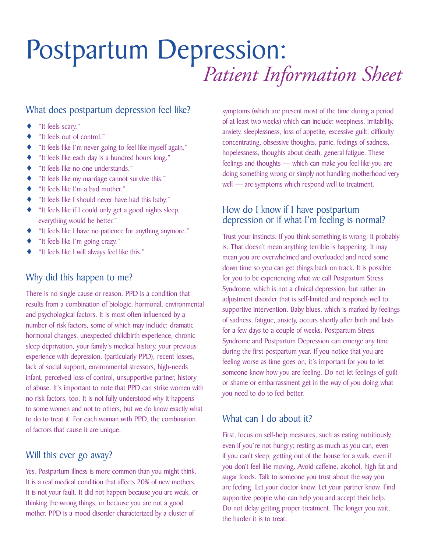# Postpartum Depression: *Patient Information Sheet*

#### What does postpartum depression feel like?

- "It feels scary."
- "It feels out of control."
- "It feels like I'm never going to feel like myself again."
- "It feels like each day is a hundred hours long."
- "It feels like no one understands."
- "It feels like my marriage cannot survive this."
- "It feels like I'm a bad mother."
- "It feels like I should never have had this baby."
- "It feels like if I could only get a good nights sleep, everything would be better."
- "It feels like I have no patience for anything anymore."
- "It feels like I'm going crazy."
- "It feels like I will always feel like this."

## Why did this happen to me?

There is no single cause or reason. PPD is a condition that results from a combination of biologic, hormonal, environmental and psychological factors. It is most often influenced by a number of risk factors, some of which may include: dramatic hormonal changes, unexpected childbirth experience, chronic sleep deprivation, your family's medical history, your previous experience with depression, (particularly PPD), recent losses, lack of social support, environmental stressors, high-needs infant, perceived loss of control, unsupportive partner, history of abuse. It's important to note that PPD can strike women with no risk factors, too. It is not fully understood why it happens to some women and not to others, but we do know exactly what to do to treat it. For each woman with PPD, the combination of factors that cause it are unique.

#### Will this ever go away?

Yes. Postpartum illness is more common than you might think. It is a real medical condition that affects 20% of new mothers. It is not your fault. It did not happen because you are weak, or thinking the wrong things, or because you are not a good mother. PPD is a mood disorder characterized by a cluster of

symptoms (which are present most of the time during a period of at least two weeks) which can include: weepiness, irritability, anxiety, sleeplessness, loss of appetite, excessive guilt, difficulty concentrating, obsessive thoughts, panic, feelings of sadness, hopelessness, thoughts about death, general fatigue. These feelings and thoughts — which can make you feel like you are doing something wrong or simply not handling motherhood very well — are symptoms which respond well to treatment.

#### How do I know if I have postpartum depression or if what I'm feeling is normal?

Trust your instincts. If you think something is wrong, it probably is. That doesn't mean anything terrible is happening. It may mean you are overwhelmed and overloaded and need some down time so you can get things back on track. It is possible for you to be experiencing what we call Postpartum Stress Syndrome, which is not a clinical depression, but rather an adjustment disorder that is self-limited and responds well to supportive intervention. Baby blues, which is marked by feelings of sadness, fatigue, anxiety, occurs shortly after birth and lasts for a few days to a couple of weeks. Postpartum Stress Syndrome and Postpartum Depression can emerge any time during the first postpartum year. If you notice that you are feeling worse as time goes on, it's important for you to let someone know how you are feeling. Do not let feelings of guilt or shame or embarrassment get in the way of you doing what you need to do to feel better.

## What can I do about it?

First, focus on self-help measures, such as eating nutritiously, even if you're not hungry; resting as much as you can, even if you can't sleep; getting out of the house for a walk, even if you don't feel like moving. Avoid caffeine, alcohol, high fat and sugar foods. Talk to someone you trust about the way you are feeling. Let your doctor know. Let your partner know. Find supportive people who can help you and accept their help. Do not delay getting proper treatment. The longer you wait, the harder it is to treat.